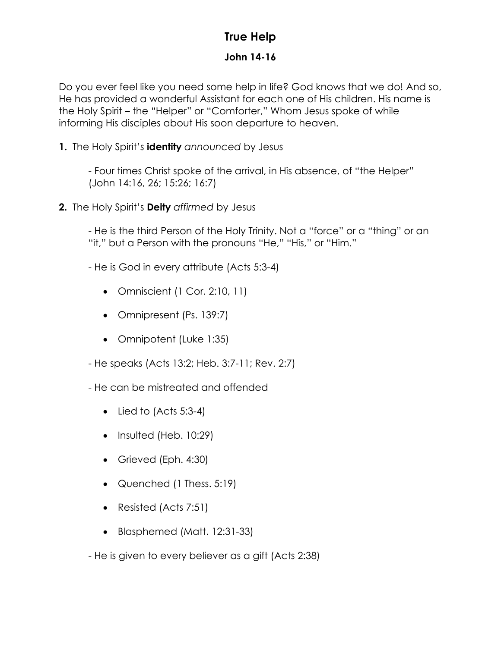## **True Help**

## **John 14-16**

Do you ever feel like you need some help in life? God knows that we do! And so, He has provided a wonderful Assistant for each one of His children. His name is the Holy Spirit – the "Helper" or "Comforter," Whom Jesus spoke of while informing His disciples about His soon departure to heaven.

**1.** The Holy Spirit's **identity** *announced* by Jesus

- Four times Christ spoke of the arrival, in His absence, of "the Helper" (John 14:16, 26; 15:26; 16:7)

**2.** The Holy Spirit's **Deity** *affirmed* by Jesus

- He is the third Person of the Holy Trinity. Not a "force" or a "thing" or an "it," but a Person with the pronouns "He," "His," or "Him."

- He is God in every attribute (Acts 5:3-4)
	- Omniscient (1 Cor. 2:10, 11)
	- Omnipresent (Ps. 139:7)
	- Omnipotent (Luke 1:35)
- He speaks (Acts 13:2; Heb. 3:7-11; Rev. 2:7)
- He can be mistreated and offended
	- $\bullet$  Lied to (Acts 5:3-4)
	- Insulted (Heb. 10:29)
	- Grieved (Eph. 4:30)
	- Quenched (1 Thess. 5:19)
	- Resisted (Acts 7:51)
	- Blasphemed (Matt. 12:31-33)
- He is given to every believer as a gift (Acts 2:38)